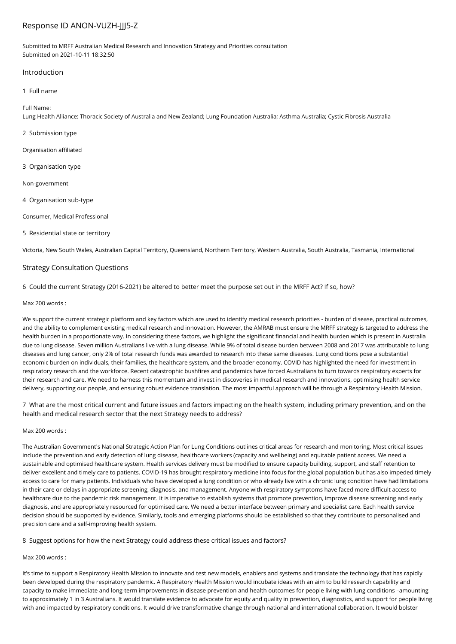# Response ID ANON-VUZH-JJJ5-Z

Submitted to MRFF Australian Medical Research and Innovation Strategy and Priorities consultation Submitted on 2021-10-11 18:32:50

### Introduction

### 1 Full name

### Full Name:

Lung Health Alliance: Thoracic Society of Australia and New Zealand; Lung Foundation Australia; Asthma Australia; Cystic Fibrosis Australia

- 2 Submission type
- Organisation affiliated
- 3 Organisation type

Non-government

4 Organisation sub-type

Consumer, Medical Professional

5 Residential state or territory

Victoria, New South Wales, Australian Capital Territory, Queensland, Northern Territory, Western Australia, South Australia, Tasmania, International

## Strategy Consultation Questions

6 Could the current Strategy (2016-2021) be altered to better meet the purpose set out in the MRFF Act? If so, how?

### Max 200 words :

We support the current strategic platform and key factors which are used to identify medical research priorities - burden of disease, practical outcomes, and the ability to complement existing medical research and innovation. However, the AMRAB must ensure the MRFF strategy is targeted to address the health burden in a proportionate way. In considering these factors, we highlight the significant financial and health burden which is present in Australia due to lung disease. Seven million Australians live with a lung disease. While 9% of total disease burden between 2008 and 2017 was attributable to lung diseases and lung cancer, only 2% of total research funds was awarded to research into these same diseases. Lung conditions pose a substantial economic burden on individuals, their families, the healthcare system, and the broader economy. COVID has highlighted the need for investment in respiratory research and the workforce. Recent catastrophic bushfires and pandemics have forced Australians to turn towards respiratory experts for their research and care. We need to harness this momentum and invest in discoveries in medical research and innovations, optimising health service delivery, supporting our people, and ensuring robust evidence translation. The most impactful approach will be through a Respiratory Health Mission.

7 What are the most critical current and future issues and factors impacting on the health system, including primary prevention, and on the health and medical research sector that the next Strategy needs to address?

#### Max 200 words :

The Australian Government's National Strategic Action Plan for Lung Conditions outlines critical areas for research and monitoring. Most critical issues include the prevention and early detection of lung disease, healthcare workers (capacity and wellbeing) and equitable patient access. We need a sustainable and optimised healthcare system. Health services delivery must be modified to ensure capacity building, support, and staff retention to deliver excellent and timely care to patients. COVID-19 has brought respiratory medicine into focus for the global population but has also impeded timely access to care for many patients. Individuals who have developed a lung condition or who already live with a chronic lung condition have had limitations in their care or delays in appropriate screening, diagnosis, and management. Anyone with respiratory symptoms have faced more difficult access to healthcare due to the pandemic risk management. It is imperative to establish systems that promote prevention, improve disease screening and early diagnosis, and are appropriately resourced for optimised care. We need a better interface between primary and specialist care. Each health service decision should be supported by evidence. Similarly, tools and emerging platforms should be established so that they contribute to personalised and precision care and a self-improving health system.

## 8 Suggest options for how the next Strategy could address these critical issues and factors?

# Max 200 words :

It's time to support a Respiratory Health Mission to innovate and test new models, enablers and systems and translate the technology that has rapidly been developed during the respiratory pandemic. A Respiratory Health Mission would incubate ideas with an aim to build research capability and capacity to make immediate and long-term improvements in disease prevention and health outcomes for people living with lung conditions –amounting to approximately 1 in 3 Australians. It would translate evidence to advocate for equity and quality in prevention, diagnostics, and support for people living with and impacted by respiratory conditions. It would drive transformative change through national and international collaboration. It would bolster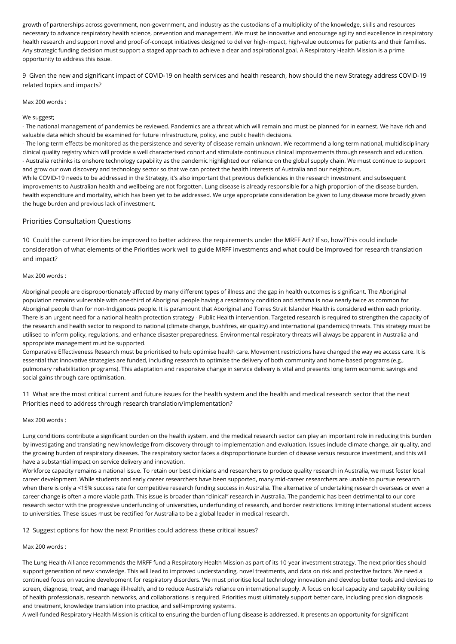growth of partnerships across government, non-government, and industry as the custodians of a multiplicity of the knowledge, skills and resources necessary to advance respiratory health science, prevention and management. We must be innovative and encourage agility and excellence in respiratory health research and support novel and proof-of-concept initiatives designed to deliver high-impact, high-value outcomes for patients and their families. Any strategic funding decision must support a staged approach to achieve a clear and aspirational goal. A Respiratory Health Mission is a prime opportunity to address this issue.

9 Given the new and significant impact of COVID-19 on health services and health research, how should the new Strategy address COVID-19 related topics and impacts?

Max 200 words :

#### We suggest:

- The national management of pandemics be reviewed. Pandemics are a threat which will remain and must be planned for in earnest. We have rich and valuable data which should be examined for future infrastructure, policy, and public health decisions.

- The long-term effects be monitored as the persistence and severity of disease remain unknown. We recommend a long-term national, multidisciplinary clinical quality registry which will provide a well characterised cohort and stimulate continuous clinical improvements through research and education. - Australia rethinks its onshore technology capability as the pandemic highlighted our reliance on the global supply chain. We must continue to support and grow our own discovery and technology sector so that we can protect the health interests of Australia and our neighbours. While COVID-19 needs to be addressed in the Strategy, it's also important that previous deficiencies in the research investment and subsequent improvements to Australian health and wellbeing are not forgotten. Lung disease is already responsible for a high proportion of the disease burden, health expenditure and mortality, which has been yet to be addressed. We urge appropriate consideration be given to lung disease more broadly given

# Priorities Consultation Questions

the huge burden and previous lack of investment.

10 Could the current Priorities be improved to better address the requirements under the MRFF Act? If so, how?This could include consideration of what elements of the Priorities work well to guide MRFF investments and what could be improved for research translation and impact?

### Max 200 words :

Aboriginal people are disproportionately affected by many different types of illness and the gap in health outcomes is significant. The Aboriginal population remains vulnerable with one-third of Aboriginal people having a respiratory condition and asthma is now nearly twice as common for Aboriginal people than for non-Indigenous people. It is paramount that Aboriginal and Torres Strait Islander Health is considered within each priority. There is an urgent need for a national health protection strategy - Public Health intervention. Targeted research is required to strengthen the capacity of the research and health sector to respond to national (climate change, bushfires, air quality) and international (pandemics) threats. This strategy must be utilised to inform policy, regulations, and enhance disaster preparedness. Environmental respiratory threats will always be apparent in Australia and appropriate management must be supported.

Comparative Effectiveness Research must be prioritised to help optimise health care. Movement restrictions have changed the way we access care. It is essential that innovative strategies are funded, including research to optimise the delivery of both community and home-based programs (e.g., pulmonary rehabilitation programs). This adaptation and responsive change in service delivery is vital and presents long term economic savings and social gains through care optimisation.

11 What are the most critical current and future issues for the health system and the health and medical research sector that the next Priorities need to address through research translation/implementation?

#### Max 200 words :

Lung conditions contribute a significant burden on the health system, and the medical research sector can play an important role in reducing this burden by investigating and translating new knowledge from discovery through to implementation and evaluation. Issues include climate change, air quality, and the growing burden of respiratory diseases. The respiratory sector faces a disproportionate burden of disease versus resource investment, and this will have a substantial impact on service delivery and innovation.

Workforce capacity remains a national issue. To retain our best clinicians and researchers to produce quality research in Australia, we must foster local career development. While students and early career researchers have been supported, many mid-career researchers are unable to pursue research when there is only a <15% success rate for competitive research funding success in Australia. The alternative of undertaking research overseas or even a career change is often a more viable path. This issue is broader than "clinical" research in Australia. The pandemic has been detrimental to our core research sector with the progressive underfunding of universities, underfunding of research, and border restrictions limiting international student access to universities. These issues must be rectified for Australia to be a global leader in medical research.

12 Suggest options for how the next Priorities could address these critical issues?

#### Max 200 words :

The Lung Health Alliance recommends the MRFF fund a Respiratory Health Mission as part of its 10-year investment strategy. The next priorities should support generation of new knowledge. This will lead to improved understanding, novel treatments, and data on risk and protective factors. We need a continued focus on vaccine development for respiratory disorders. We must prioritise local technology innovation and develop better tools and devices to screen, diagnose, treat, and manage ill-health, and to reduce Australia's reliance on international supply. A focus on local capacity and capability building of health professionals, research networks, and collaborations is required. Priorities must ultimately support better care, including precision diagnosis and treatment, knowledge translation into practice, and self-improving systems.

A well-funded Respiratory Health Mission is critical to ensuring the burden of lung disease is addressed. It presents an opportunity for significant